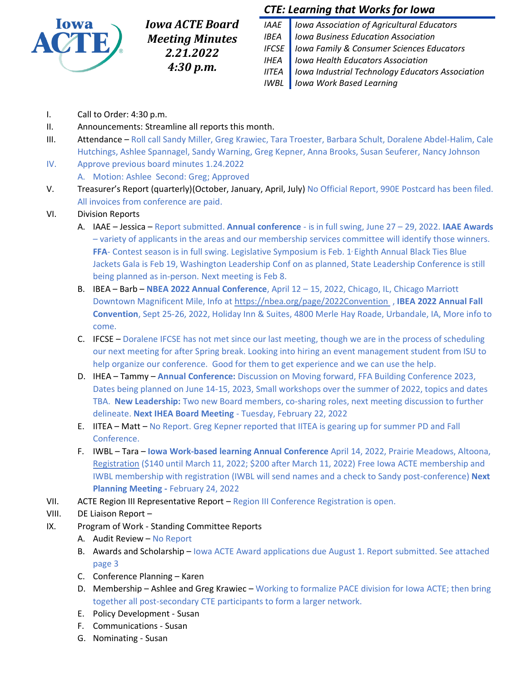

*Iowa ACTE Board Meeting Minutes 2.21.2022 4:30 p.m.*

# *CTE: Learning that Works for Iowa*

*IAAE Iowa Association of Agricultural Educators IBEA Iowa Business Education Association IFCSE Iowa Family & Consumer Sciences Educators IHEA Iowa Health Educators Association IITEA Iowa Industrial Technology Educators Association IWBL Iowa Work Based Learning*

- I. Call to Order: 4:30 p.m.
- II. Announcements: Streamline all reports this month.
- III. Attendance Roll call Sandy Miller, Greg Krawiec, Tara Troester, Barbara Schult, Doralene Abdel-Halim, Cale Hutchings, Ashlee Spannagel, Sandy Warning, Greg Kepner, Anna Brooks, Susan Seuferer, Nancy Johnson
- IV. Approve previous board minutes 1.24.2022
	- A. Motion: Ashlee Second: Greg; Approved
- V. Treasurer's Report (quarterly)(October, January, April, July) No Official Report, 990E Postcard has been filed. All invoices from conference are paid.

### VI. Division Reports

- A. IAAE Jessica Report submitted. **Annual conference** is in full swing, June 27 29, 2022. **IAAE Awards** – variety of applicants in the areas and our membership services committee will identify those winners. FFA- Contest season is in full swing. Legislative Symposium is Feb. 1<sup>,</sup> Eighth Annual Black Ties Blue Jackets Gala is Feb 19, Washington Leadership Conf on as planned, State Leadership Conference is still being planned as in-person. Next meeting is Feb 8.
- B. IBEA Barb **NBEA 2022 Annual Conference**, April 12 15, 2022, Chicago, IL, Chicago Marriott Downtown Magnificent Mile, Info at <https://nbea.org/page/2022Convention> , **IBEA 2022 Annual Fall Convention**, Sept 25-26, 2022, Holiday Inn & Suites, 4800 Merle Hay Roade, Urbandale, IA, More info to come.
- C. IFCSE Doralene IFCSE has not met since our last meeting, though we are in the process of scheduling our next meeting for after Spring break. Looking into hiring an event management student from ISU to help organize our conference. Good for them to get experience and we can use the help.
- D. IHEA Tammy **Annual Conference:** Discussion on Moving forward, FFA Building Conference 2023, Dates being planned on June 14-15, 2023, Small workshops over the summer of 2022, topics and dates TBA. **New Leadership:** Two new Board members, co-sharing roles, next meeting discussion to further delineate. **Next IHEA Board Meeting** - Tuesday, February 22, 2022
- E. IITEA Matt No Report. Greg Kepner reported that IITEA is gearing up for summer PD and Fall Conference.
- F. IWBL Tara **Iowa Work-based learning Annual Conference** April 14, 2022, Prairie Meadows, Altoona, [Registration](http://www.iowawbl.org/pd/) (\$140 until March 11, 2022; \$200 after March 11, 2022) Free Iowa ACTE membership and IWBL membership with registration (IWBL will send names and a check to Sandy post-conference) **Next Planning Meeting -** February 24, 2022
- VII. ACTE Region III Representative Report Region III Conference Registration is open.
- VIII. DE Liaison Report –
- IX. Program of Work Standing Committee Reports
	- A. Audit Review No Report
	- B. Awards and Scholarship Iowa ACTE Award applications due August 1. Report submitted. See attached page 3
	- C. Conference Planning Karen
	- D. Membership Ashlee and Greg Krawiec Working to formalize PACE division for Iowa ACTE; then bring together all post-secondary CTE participants to form a larger network.
	- E. Policy Development Susan
	- F. Communications Susan
	- G. Nominating Susan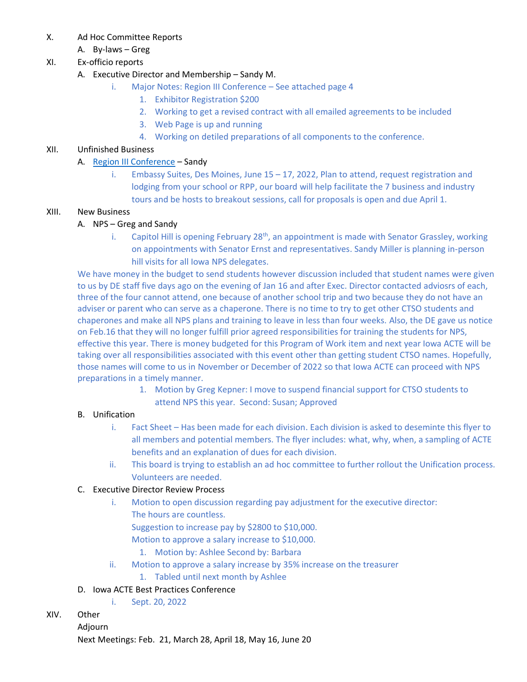- X. Ad Hoc Committee Reports
	- A. By-laws Greg

## XI. Ex-officio reports

- A. Executive Director and Membership Sandy M.
	- i. Major Notes: Region III Conference See attached page 4
		- 1. Exhibitor Registration \$200
		- 2. Working to get a revised contract with all emailed agreements to be included
		- 3. Web Page is up and running
		- 4. Working on detiled preparations of all components to the conference.

## XII. Unfinished Business

## A. [Region III Conference](https://www.acteonline.org/region-page/region-iii-workshops-and-conferences/) – Sandy

i. Embassy Suites, Des Moines, June 15 – 17, 2022, Plan to attend, request registration and lodging from your school or RPP, our board will help facilitate the 7 business and industry tours and be hosts to breakout sessions, call for proposals is open and due April 1.

### XIII. New Business

## A. NPS – Greg and Sandy

i. Capitol Hill is opening February 28<sup>th</sup>, an appointment is made with Senator Grassley, working on appointments with Senator Ernst and representatives. Sandy Miller is planning in-person hill visits for all Iowa NPS delegates.

We have money in the budget to send students however discussion included that student names were given to us by DE staff five days ago on the evening of Jan 16 and after Exec. Director contacted adviosrs of each, three of the four cannot attend, one because of another school trip and two because they do not have an adviser or parent who can serve as a chaperone. There is no time to try to get other CTSO students and chaperones and make all NPS plans and training to leave in less than four weeks. Also, the DE gave us notice on Feb.16 that they will no longer fulfill prior agreed responsibilities for training the students for NPS, effective this year. There is money budgeted for this Program of Work item and next year Iowa ACTE will be taking over all responsibilities associated with this event other than getting student CTSO names. Hopefully, those names will come to us in November or December of 2022 so that Iowa ACTE can proceed with NPS preparations in a timely manner.

1. Motion by Greg Kepner: I move to suspend financial support for CTSO students to attend NPS this year. Second: Susan; Approved

#### B. Unification

- i. Fact Sheet Has been made for each division. Each division is asked to deseminte this flyer to all members and potential members. The flyer includes: what, why, when, a sampling of ACTE benefits and an explanation of dues for each division.
- ii. This board is trying to establish an ad hoc committee to further rollout the Unification process. Volunteers are needed.

#### C. Executive Director Review Process

- i. Motion to open discussion regarding pay adjustment for the executive director: The hours are countless.
	- Suggestion to increase pay by \$2800 to \$10,000.
	- Motion to approve a salary increase to \$10,000.
	- 1. Motion by: Ashlee Second by: Barbara
- ii. Motion to approve a salary increase by 35% increase on the treasurer
	- 1. Tabled until next month by Ashlee

## D. Iowa ACTE Best Practices Conference

i. Sept. 20, 2022

#### XIV. Other

Adjourn Next Meetings: Feb. 21, March 28, April 18, May 16, June 20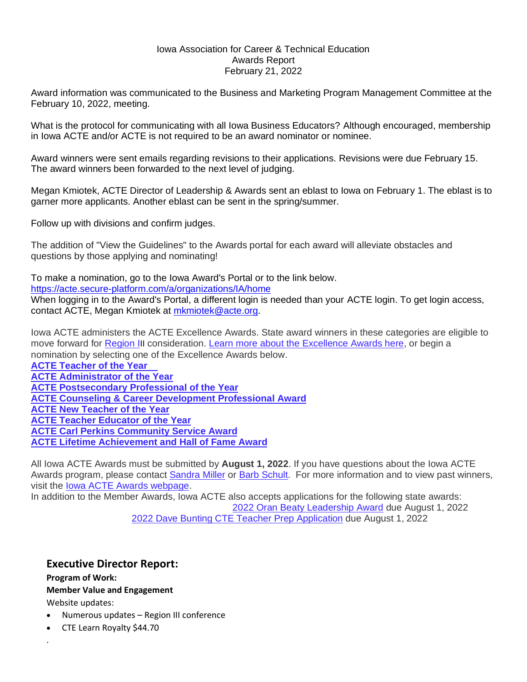#### Iowa Association for Career & Technical Education Awards Report February 21, 2022

Award information was communicated to the Business and Marketing Program Management Committee at the February 10, 2022, meeting.

What is the protocol for communicating with all Iowa Business Educators? Although encouraged, membership in Iowa ACTE and/or ACTE is not required to be an award nominator or nominee.

Award winners were sent emails regarding revisions to their applications. Revisions were due February 15. The award winners been forwarded to the next level of judging.

Megan Kmiotek, ACTE Director of Leadership & Awards sent an eblast to Iowa on February 1. The eblast is to garner more applicants. Another eblast can be sent in the spring/summer.

Follow up with divisions and confirm judges.

The addition of "View the Guidelines" to the Awards portal for each award will alleviate obstacles and questions by those applying and nominating!

To make a nomination, go to the Iowa Award's Portal or to the link below. <https://acte.secure-platform.com/a/organizations/IA/home> When logging in to the Award's Portal, a different login is needed than your ACTE login. To get login access, contact ACTE, Megan Kmiotek at [mkmiotek@acte.org.](mailto:mkmiotek@acte.org)

Iowa ACTE administers the ACTE Excellence Awards. State award winners in these categories are eligible to move forward for [Region](https://acte.secure-platform.com/a/organizations/01/home) I[I](https://acte.secure-platform.com/a/organizations/02/home)[I](https://acte.secure-platform.com/a/organizations/03/home) consideration. Learn more about the [Excellence](https://acte.secure-platform.com/a/page/awards/national/excellence_awards) Awards here, or begin a nomination by selecting one of the Excellence Awards below.

**ACTE [Teacher](https://acte.secure-platform.com/a/organizations/IA/solicitations/2573/home) of the Year ACTE [Administrator](https://acte.secure-platform.com/a/organizations/IA/solicitations/2567/home) of the Year ACTE [Postsecondary](https://acte.secure-platform.com/a/organizations/IA/solicitations/2571/home) Professional of the Year ACTE Counseling & Career [Development](https://acte.secure-platform.com/a/organizations/IA/solicitations/2568/home) Professional Award ACTE New [Teacher](https://acte.secure-platform.com/a/organizations/IA/solicitations/2570/home) of the Year ACTE Teacher [Educator](https://acte.secure-platform.com/a/organizations/IA/solicitations/2572/home) of the Year ACTE Carl Perkins [Community](https://acte.secure-platform.com/a/organizations/IA/solicitations/2574/home) Service Award ACTE Lifetime [Achievement](https://acte.secure-platform.com/a/organizations/IA/solicitations/2569/home) and Hall of Fame Award**

All Iowa ACTE Awards must be submitted by **August 1, 2022**. If you have questions about the Iowa ACTE Awards program, please contact [Sandra](mailto:sandymiller1414@gmail.com) Miller or Barb [Schult.](mailto:barbara.schult@linnmar.k12.ia.us) For more information and to view past winners, visit the Iowa ACTE Awards [webpage.](https://www.acteonline.org/iowa_awards/#.U3zHP_ldXgg)

In addition to the Member Awards, Iowa ACTE also accepts applications for the following state awards: 2022 Oran Beaty [Leadership](https://acte.secure-platform.com/a/organizations/IA/solicitations/2631/home) Award due August 1, 2022 2022 Dave Bunting CTE Teacher Prep [Application](https://acte.secure-platform.com/a/organizations/IA/solicitations/2632/home) due August 1, 2022

## **Executive Director Report:**

**Program of Work:**

#### **Member Value and Engagement**

Website updates:

.

- Numerous updates Region III conference
- CTE Learn Royalty \$44.70